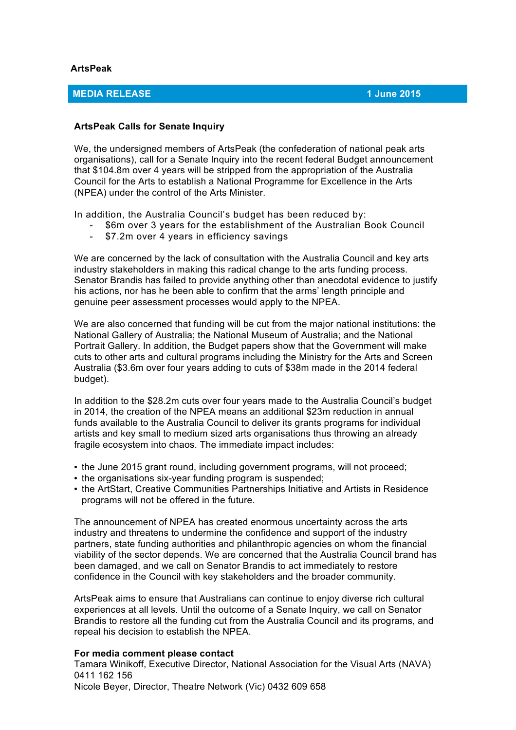#### **ArtsPeak**

# **MEDIA RELEASE 1 June 2015**

## **ArtsPeak Calls for Senate Inquiry**

We, the undersigned members of ArtsPeak (the confederation of national peak arts organisations), call for a Senate Inquiry into the recent federal Budget announcement that \$104.8m over 4 years will be stripped from the appropriation of the Australia Council for the Arts to establish a National Programme for Excellence in the Arts (NPEA) under the control of the Arts Minister.

In addition, the Australia Council's budget has been reduced by:

- \$6m over 3 years for the establishment of the Australian Book Council
- \$7.2m over 4 years in efficiency savings

We are concerned by the lack of consultation with the Australia Council and key arts industry stakeholders in making this radical change to the arts funding process. Senator Brandis has failed to provide anything other than anecdotal evidence to justify his actions, nor has he been able to confirm that the arms' length principle and genuine peer assessment processes would apply to the NPEA.

We are also concerned that funding will be cut from the major national institutions: the National Gallery of Australia; the National Museum of Australia; and the National Portrait Gallery. In addition, the Budget papers show that the Government will make cuts to other arts and cultural programs including the Ministry for the Arts and Screen Australia (\$3.6m over four years adding to cuts of \$38m made in the 2014 federal budget).

In addition to the \$28.2m cuts over four years made to the Australia Council's budget in 2014, the creation of the NPEA means an additional \$23m reduction in annual funds available to the Australia Council to deliver its grants programs for individual artists and key small to medium sized arts organisations thus throwing an already fragile ecosystem into chaos. The immediate impact includes:

- the June 2015 grant round, including government programs, will not proceed;
- the organisations six-year funding program is suspended;
- the ArtStart, Creative Communities Partnerships Initiative and Artists in Residence programs will not be offered in the future.

The announcement of NPEA has created enormous uncertainty across the arts industry and threatens to undermine the confidence and support of the industry partners, state funding authorities and philanthropic agencies on whom the financial viability of the sector depends. We are concerned that the Australia Council brand has been damaged, and we call on Senator Brandis to act immediately to restore confidence in the Council with key stakeholders and the broader community.

ArtsPeak aims to ensure that Australians can continue to enjoy diverse rich cultural experiences at all levels. Until the outcome of a Senate Inquiry, we call on Senator Brandis to restore all the funding cut from the Australia Council and its programs, and repeal his decision to establish the NPEA.

### **For media comment please contact**

Tamara Winikoff, Executive Director, National Association for the Visual Arts (NAVA) 0411 162 156 Nicole Beyer, Director, Theatre Network (Vic) 0432 609 658